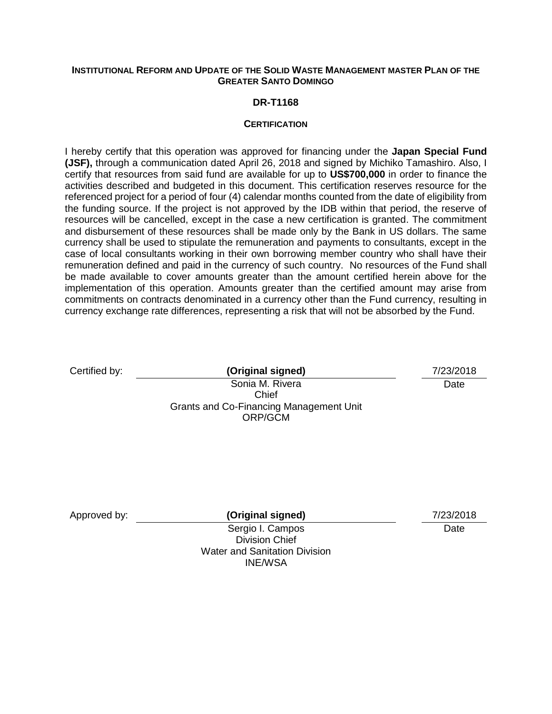#### **INSTITUTIONAL REFORM AND UPDATE OF THE SOLID WASTE MANAGEMENT MASTER PLAN OF THE GREATER SANTO DOMINGO**

#### **DR-T1168**

#### **CERTIFICATION**

I hereby certify that this operation was approved for financing under the **Japan Special Fund (JSF),** through a communication dated April 26, 2018 and signed by Michiko Tamashiro. Also, I certify that resources from said fund are available for up to **US\$700,000** in order to finance the activities described and budgeted in this document. This certification reserves resource for the referenced project for a period of four (4) calendar months counted from the date of eligibility from the funding source. If the project is not approved by the IDB within that period, the reserve of resources will be cancelled, except in the case a new certification is granted. The commitment and disbursement of these resources shall be made only by the Bank in US dollars. The same currency shall be used to stipulate the remuneration and payments to consultants, except in the case of local consultants working in their own borrowing member country who shall have their remuneration defined and paid in the currency of such country. No resources of the Fund shall be made available to cover amounts greater than the amount certified herein above for the implementation of this operation. Amounts greater than the certified amount may arise from commitments on contracts denominated in a currency other than the Fund currency, resulting in currency exchange rate differences, representing a risk that will not be absorbed by the Fund.

**(Original signed)** 7/23/2018

**Date** 

Sonia M. Rivera Chief Grants and Co-Financing Management Unit ORP/GCM

Approved by: **(Original signed)** 7/23/2018

**Date** 

Sergio I. Campos Division Chief Water and Sanitation Division INE/WSA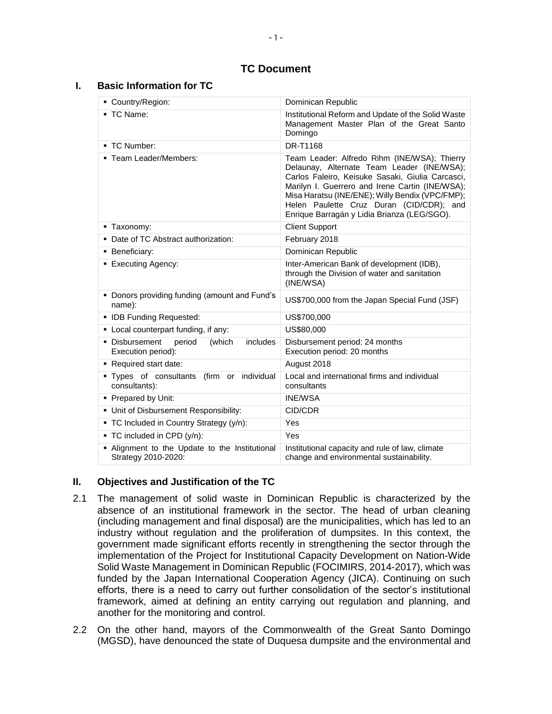## **TC Document**

# **I. Basic Information for TC**

| Country/Region:                                                             | Dominican Republic                                                                                                                                                                                                                                                                                                                              |  |  |
|-----------------------------------------------------------------------------|-------------------------------------------------------------------------------------------------------------------------------------------------------------------------------------------------------------------------------------------------------------------------------------------------------------------------------------------------|--|--|
| TC Name:                                                                    | Institutional Reform and Update of the Solid Waste<br>Management Master Plan of the Great Santo<br>Domingo                                                                                                                                                                                                                                      |  |  |
| • TC Number:                                                                | DR-T1168                                                                                                                                                                                                                                                                                                                                        |  |  |
| • Team Leader/Members:                                                      | Team Leader: Alfredo Rihm (INE/WSA); Thierry<br>Delaunay, Alternate Team Leader (INE/WSA);<br>Carlos Faleiro, Keisuke Sasaki, Giulia Carcasci,<br>Marilyn I. Guerrero and Irene Cartin (INE/WSA);<br>Misa Haratsu (INE/ENE); Willy Bendix (VPC/FMP);<br>Helen Paulette Cruz Duran (CID/CDR); and<br>Enrique Barragán y Lidia Brianza (LEG/SGO). |  |  |
| • Taxonomy:                                                                 | <b>Client Support</b>                                                                                                                                                                                                                                                                                                                           |  |  |
| • Date of TC Abstract authorization:                                        | February 2018                                                                                                                                                                                                                                                                                                                                   |  |  |
| • Beneficiary:                                                              | Dominican Republic                                                                                                                                                                                                                                                                                                                              |  |  |
| <b>Executing Agency:</b>                                                    | Inter-American Bank of development (IDB),<br>through the Division of water and sanitation<br>(INE/WSA)                                                                                                                                                                                                                                          |  |  |
| • Donors providing funding (amount and Fund's<br>name):                     | US\$700,000 from the Japan Special Fund (JSF)                                                                                                                                                                                                                                                                                                   |  |  |
| • IDB Funding Requested:                                                    | US\$700,000                                                                                                                                                                                                                                                                                                                                     |  |  |
| • Local counterpart funding, if any:                                        | US\$80,000                                                                                                                                                                                                                                                                                                                                      |  |  |
| • Disbursement<br>period<br>(which<br><i>includes</i><br>Execution period): | Disbursement period: 24 months<br>Execution period: 20 months                                                                                                                                                                                                                                                                                   |  |  |
| Required start date:                                                        | August 2018                                                                                                                                                                                                                                                                                                                                     |  |  |
| . Types of consultants (firm or individual<br>consultants):                 | Local and international firms and individual<br>consultants                                                                                                                                                                                                                                                                                     |  |  |
| • Prepared by Unit:                                                         | <b>INE/WSA</b>                                                                                                                                                                                                                                                                                                                                  |  |  |
| • Unit of Disbursement Responsibility:                                      | CID/CDR                                                                                                                                                                                                                                                                                                                                         |  |  |
| • TC Included in Country Strategy (y/n):                                    | Yes                                                                                                                                                                                                                                                                                                                                             |  |  |
| ■ TC included in CPD (y/n):                                                 | Yes                                                                                                                                                                                                                                                                                                                                             |  |  |
| . Alignment to the Update to the Institutional<br>Strategy 2010-2020:       | Institutional capacity and rule of law, climate<br>change and environmental sustainability.                                                                                                                                                                                                                                                     |  |  |

#### **II. Objectives and Justification of the TC**

- 2.1 The management of solid waste in Dominican Republic is characterized by the absence of an institutional framework in the sector. The head of urban cleaning (including management and final disposal) are the municipalities, which has led to an industry without regulation and the proliferation of dumpsites. In this context, the government made significant efforts recently in strengthening the sector through the implementation of the Project for Institutional Capacity Development on Nation-Wide Solid Waste Management in Dominican Republic (FOCIMIRS, 2014-2017), which was funded by the Japan International Cooperation Agency (JICA). Continuing on such efforts, there is a need to carry out further consolidation of the sector's institutional framework, aimed at defining an entity carrying out regulation and planning, and another for the monitoring and control.
- 2.2 On the other hand, mayors of the Commonwealth of the Great Santo Domingo (MGSD), have denounced the state of Duquesa dumpsite and the environmental and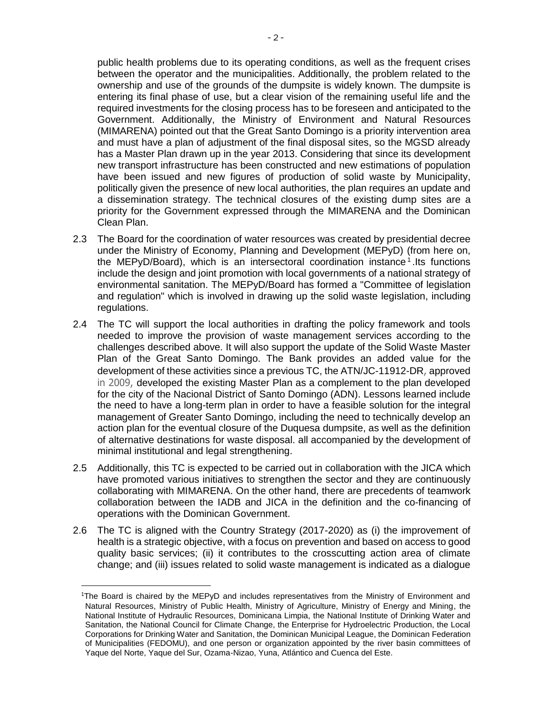public health problems due to its operating conditions, as well as the frequent crises between the operator and the municipalities. Additionally, the problem related to the ownership and use of the grounds of the dumpsite is widely known. The dumpsite is entering its final phase of use, but a clear vision of the remaining useful life and the required investments for the closing process has to be foreseen and anticipated to the Government. Additionally, the Ministry of Environment and Natural Resources (MIMARENA) pointed out that the Great Santo Domingo is a priority intervention area and must have a plan of adjustment of the final disposal sites, so the MGSD already has a Master Plan drawn up in the year 2013. Considering that since its development new transport infrastructure has been constructed and new estimations of population have been issued and new figures of production of solid waste by Municipality, politically given the presence of new local authorities, the plan requires an update and a dissemination strategy. The technical closures of the existing dump sites are a priority for the Government expressed through the MIMARENA and the Dominican Clean Plan.

- 2.3 The Board for the coordination of water resources was created by presidential decree under the Ministry of Economy, Planning and Development (MEPyD) (from here on, the MEPyD/Board), which is an intersectoral coordination instance<sup>1</sup>. Its functions include the design and joint promotion with local governments of a national strategy of environmental sanitation. The MEPyD/Board has formed a "Committee of legislation and regulation" which is involved in drawing up the solid waste legislation, including regulations.
- 2.4 The TC will support the local authorities in drafting the policy framework and tools needed to improve the provision of waste management services according to the challenges described above. It will also support the update of the Solid Waste Master Plan of the Great Santo Domingo. The Bank provides an added value for the development of these activities since a previous TC, the ATN/JC-11912-DR, approved in 2009, developed the existing Master Plan as a complement to the plan developed for the city of the Nacional District of Santo Domingo (ADN). Lessons learned include the need to have a long-term plan in order to have a feasible solution for the integral management of Greater Santo Domingo, including the need to technically develop an action plan for the eventual closure of the Duquesa dumpsite, as well as the definition of alternative destinations for waste disposal. all accompanied by the development of minimal institutional and legal strengthening.
- 2.5 Additionally, this TC is expected to be carried out in collaboration with the JICA which have promoted various initiatives to strengthen the sector and they are continuously collaborating with MIMARENA. On the other hand, there are precedents of teamwork collaboration between the IADB and JICA in the definition and the co-financing of operations with the Dominican Government.
- 2.6 The TC is aligned with the Country Strategy (2017-2020) as (i) the improvement of health is a strategic objective, with a focus on prevention and based on access to good quality basic services; (ii) it contributes to the crosscutting action area of climate change; and (iii) issues related to solid waste management is indicated as a dialogue

 $\overline{\phantom{a}}$ 

<sup>&</sup>lt;sup>1</sup>The Board is chaired by the MEPyD and includes representatives from the Ministry of Environment and Natural Resources, Ministry of Public Health, Ministry of Agriculture, Ministry of Energy and Mining, the National Institute of Hydraulic Resources, Dominicana Limpia, the National Institute of Drinking Water and Sanitation, the National Council for Climate Change, the Enterprise for Hydroelectric Production, the Local Corporations for Drinking Water and Sanitation, the Dominican Municipal League, the Dominican Federation of Municipalities (FEDOMU), and one person or organization appointed by the river basin committees of Yaque del Norte, Yaque del Sur, Ozama-Nizao, Yuna, Atlántico and Cuenca del Este.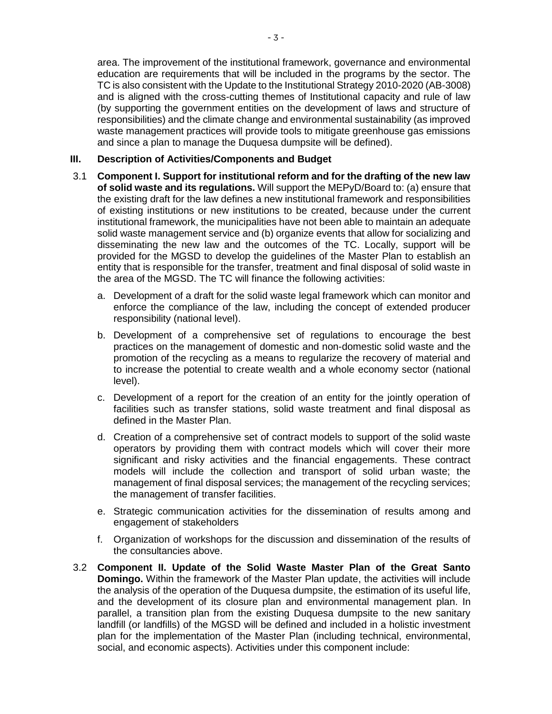area. The improvement of the institutional framework, governance and environmental education are requirements that will be included in the programs by the sector. The TC is also consistent with the Update to the Institutional Strategy 2010-2020 (AB-3008) and is aligned with the cross-cutting themes of Institutional capacity and rule of law (by supporting the government entities on the development of laws and structure of responsibilities) and the climate change and environmental sustainability (as improved waste management practices will provide tools to mitigate greenhouse gas emissions and since a plan to manage the Duquesa dumpsite will be defined).

## **III. Description of Activities/Components and Budget**

- 3.1 **Component I. Support for institutional reform and for the drafting of the new law of solid waste and its regulations.** Will support the MEPyD/Board to: (a) ensure that the existing draft for the law defines a new institutional framework and responsibilities of existing institutions or new institutions to be created, because under the current institutional framework, the municipalities have not been able to maintain an adequate solid waste management service and (b) organize events that allow for socializing and disseminating the new law and the outcomes of the TC. Locally, support will be provided for the MGSD to develop the guidelines of the Master Plan to establish an entity that is responsible for the transfer, treatment and final disposal of solid waste in the area of the MGSD. The TC will finance the following activities:
	- a. Development of a draft for the solid waste legal framework which can monitor and enforce the compliance of the law, including the concept of extended producer responsibility (national level).
	- b. Development of a comprehensive set of regulations to encourage the best practices on the management of domestic and non-domestic solid waste and the promotion of the recycling as a means to regularize the recovery of material and to increase the potential to create wealth and a whole economy sector (national level).
	- c. Development of a report for the creation of an entity for the jointly operation of facilities such as transfer stations, solid waste treatment and final disposal as defined in the Master Plan.
	- d. Creation of a comprehensive set of contract models to support of the solid waste operators by providing them with contract models which will cover their more significant and risky activities and the financial engagements. These contract models will include the collection and transport of solid urban waste; the management of final disposal services; the management of the recycling services; the management of transfer facilities.
	- e. Strategic communication activities for the dissemination of results among and engagement of stakeholders
	- f. Organization of workshops for the discussion and dissemination of the results of the consultancies above.
- 3.2 **Component II. Update of the Solid Waste Master Plan of the Great Santo Domingo.** Within the framework of the Master Plan update, the activities will include the analysis of the operation of the Duquesa dumpsite, the estimation of its useful life, and the development of its closure plan and environmental management plan. In parallel, a transition plan from the existing Duquesa dumpsite to the new sanitary landfill (or landfills) of the MGSD will be defined and included in a holistic investment plan for the implementation of the Master Plan (including technical, environmental, social, and economic aspects). Activities under this component include: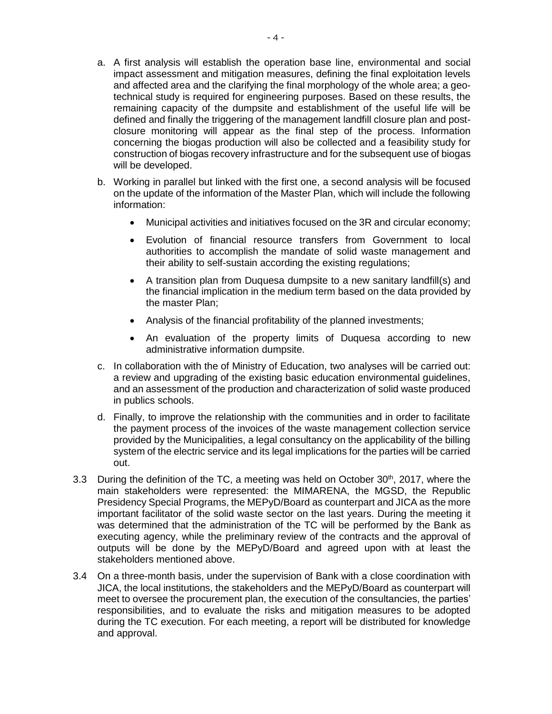- a. A first analysis will establish the operation base line, environmental and social impact assessment and mitigation measures, defining the final exploitation levels and affected area and the clarifying the final morphology of the whole area; a geotechnical study is required for engineering purposes. Based on these results, the remaining capacity of the dumpsite and establishment of the useful life will be defined and finally the triggering of the management landfill closure plan and postclosure monitoring will appear as the final step of the process. Information concerning the biogas production will also be collected and a feasibility study for construction of biogas recovery infrastructure and for the subsequent use of biogas will be developed.
- b. Working in parallel but linked with the first one, a second analysis will be focused on the update of the information of the Master Plan, which will include the following information:
	- Municipal activities and initiatives focused on the 3R and circular economy;
	- Evolution of financial resource transfers from Government to local authorities to accomplish the mandate of solid waste management and their ability to self-sustain according the existing regulations;
	- A transition plan from Duquesa dumpsite to a new sanitary landfill(s) and the financial implication in the medium term based on the data provided by the master Plan;
	- Analysis of the financial profitability of the planned investments;
	- An evaluation of the property limits of Duquesa according to new administrative information dumpsite.
- c. In collaboration with the of Ministry of Education, two analyses will be carried out: a review and upgrading of the existing basic education environmental guidelines, and an assessment of the production and characterization of solid waste produced in publics schools.
- d. Finally, to improve the relationship with the communities and in order to facilitate the payment process of the invoices of the waste management collection service provided by the Municipalities, a legal consultancy on the applicability of the billing system of the electric service and its legal implications for the parties will be carried out.
- 3.3 During the definition of the TC, a meeting was held on October  $30<sup>th</sup>$ , 2017, where the main stakeholders were represented: the MIMARENA, the MGSD, the Republic Presidency Special Programs, the MEPyD/Board as counterpart and JICA as the more important facilitator of the solid waste sector on the last years. During the meeting it was determined that the administration of the TC will be performed by the Bank as executing agency, while the preliminary review of the contracts and the approval of outputs will be done by the MEPyD/Board and agreed upon with at least the stakeholders mentioned above.
- 3.4 On a three-month basis, under the supervision of Bank with a close coordination with JICA, the local institutions, the stakeholders and the MEPyD/Board as counterpart will meet to oversee the procurement plan, the execution of the consultancies, the parties' responsibilities, and to evaluate the risks and mitigation measures to be adopted during the TC execution. For each meeting, a report will be distributed for knowledge and approval.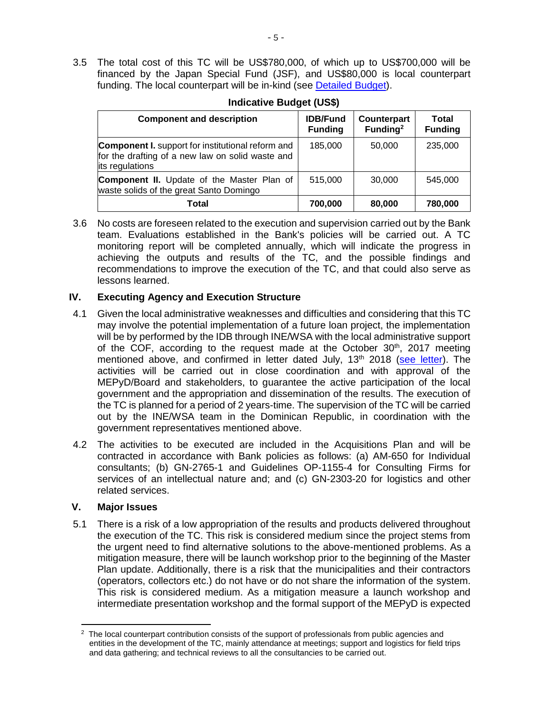3.5 The total cost of this TC will be US\$780,000, of which up to US\$700,000 will be financed by the Japan Special Fund (JSF), and US\$80,000 is local counterpart funding. The local counterpart will be in-kind (see [Detailed Budget\)](http://idbdocs.iadb.org/wsdocs/getDocument.aspx?DOCNUM=EZSHARE-1002586769-9).

| <b>Component and description</b>                                                                                                | <b>IDB/Fund</b><br><b>Funding</b> | Counterpart<br>Funding <sup>2</sup> | Total<br><b>Funding</b> |
|---------------------------------------------------------------------------------------------------------------------------------|-----------------------------------|-------------------------------------|-------------------------|
| <b>Component I.</b> support for institutional reform and<br>for the drafting of a new law on solid waste and<br>its regulations | 185,000                           | 50,000                              | 235,000                 |
| <b>Component II.</b> Update of the Master Plan of<br>waste solids of the great Santo Domingo                                    | 515,000                           | 30,000                              | 545.000                 |
| Total                                                                                                                           | 700,000                           | 80,000                              | 780,000                 |

## **Indicative Budget (US\$)**

3.6 No costs are foreseen related to the execution and supervision carried out by the Bank team. Evaluations established in the Bank's policies will be carried out. A TC monitoring report will be completed annually, which will indicate the progress in achieving the outputs and results of the TC, and the possible findings and recommendations to improve the execution of the TC, and that could also serve as lessons learned.

# **IV. Executing Agency and Execution Structure**

- 4.1 Given the local administrative weaknesses and difficulties and considering that this TC may involve the potential implementation of a future loan project, the implementation will be by performed by the IDB through INE/WSA with the local administrative support of the COF, according to the request made at the October  $30<sup>th</sup>$ , 2017 meeting mentioned above, and confirmed in letter dated July, 13<sup>th</sup> 2018 [\(see letter\)](https://idbg.sharepoint.com/teams/EZ-DR-TCP/DR-T1168/15%20LifeCycle%20Milestones/Solicitud%20para%20que%20el%20BID%20funja%20como%20Organismo%20Ejecutor%20de%20la%20Cooperaci%C3%B3n%20T%C3%A9cnica%20DR-T1168.pdf). The activities will be carried out in close coordination and with approval of the MEPyD/Board and stakeholders, to guarantee the active participation of the local government and the appropriation and dissemination of the results. The execution of the TC is planned for a period of 2 years-time. The supervision of the TC will be carried out by the INE/WSA team in the Dominican Republic, in coordination with the government representatives mentioned above.
- 4.2 The activities to be executed are included in the Acquisitions Plan and will be contracted in accordance with Bank policies as follows: (a) AM-650 for Individual consultants; (b) GN-2765-1 and Guidelines OP-1155-4 for Consulting Firms for services of an intellectual nature and; and (c) GN-2303-20 for logistics and other related services.

# **V. Major Issues**

5.1 There is a risk of a low appropriation of the results and products delivered throughout the execution of the TC. This risk is considered medium since the project stems from the urgent need to find alternative solutions to the above-mentioned problems. As a mitigation measure, there will be launch workshop prior to the beginning of the Master Plan update. Additionally, there is a risk that the municipalities and their contractors (operators, collectors etc.) do not have or do not share the information of the system. This risk is considered medium. As a mitigation measure a launch workshop and intermediate presentation workshop and the formal support of the MEPyD is expected

 $\overline{a}$  $2$  The local counterpart contribution consists of the support of professionals from public agencies and entities in the development of the TC, mainly attendance at meetings; support and logistics for field trips and data gathering; and technical reviews to all the consultancies to be carried out.